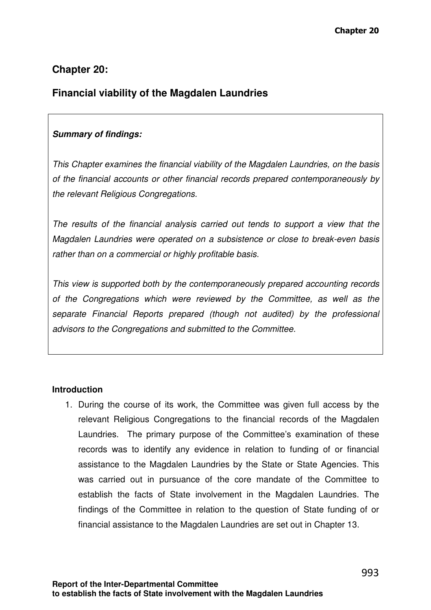# **Chapter 20:**

# **Financial viability of the Magdalen Laundries**

# **Summary of findings:**

This Chapter examines the financial viability of the Magdalen Laundries, on the basis of the financial accounts or other financial records prepared contemporaneously by the relevant Religious Congregations.

The results of the financial analysis carried out tends to support a view that the Magdalen Laundries were operated on a subsistence or close to break-even basis rather than on a commercial or highly profitable basis.

This view is supported both by the contemporaneously prepared accounting records of the Congregations which were reviewed by the Committee, as well as the separate Financial Reports prepared (though not audited) by the professional advisors to the Congregations and submitted to the Committee.

## **Introduction**

1. During the course of its work, the Committee was given full access by the relevant Religious Congregations to the financial records of the Magdalen Laundries. The primary purpose of the Committee's examination of these records was to identify any evidence in relation to funding of or financial assistance to the Magdalen Laundries by the State or State Agencies. This was carried out in pursuance of the core mandate of the Committee to establish the facts of State involvement in the Magdalen Laundries. The findings of the Committee in relation to the question of State funding of or financial assistance to the Magdalen Laundries are set out in Chapter 13.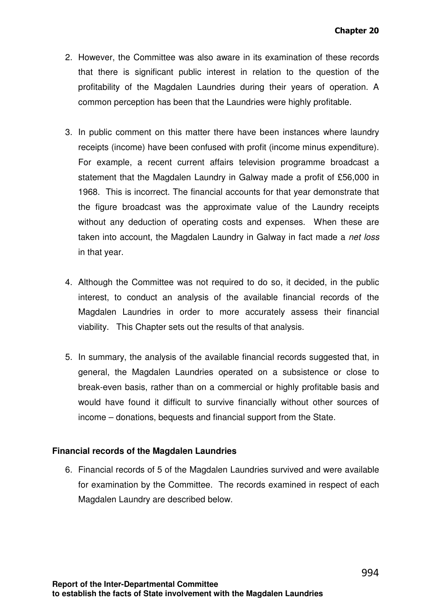- 2. However, the Committee was also aware in its examination of these records that there is significant public interest in relation to the question of the profitability of the Magdalen Laundries during their years of operation. A common perception has been that the Laundries were highly profitable.
- 3. In public comment on this matter there have been instances where laundry receipts (income) have been confused with profit (income minus expenditure). For example, a recent current affairs television programme broadcast a statement that the Magdalen Laundry in Galway made a profit of £56,000 in 1968. This is incorrect. The financial accounts for that year demonstrate that the figure broadcast was the approximate value of the Laundry receipts without any deduction of operating costs and expenses. When these are taken into account, the Magdalen Laundry in Galway in fact made a net loss in that year.
- 4. Although the Committee was not required to do so, it decided, in the public interest, to conduct an analysis of the available financial records of the Magdalen Laundries in order to more accurately assess their financial viability. This Chapter sets out the results of that analysis.
- 5. In summary, the analysis of the available financial records suggested that, in general, the Magdalen Laundries operated on a subsistence or close to break-even basis, rather than on a commercial or highly profitable basis and would have found it difficult to survive financially without other sources of income – donations, bequests and financial support from the State.

#### **Financial records of the Magdalen Laundries**

6. Financial records of 5 of the Magdalen Laundries survived and were available for examination by the Committee. The records examined in respect of each Magdalen Laundry are described below.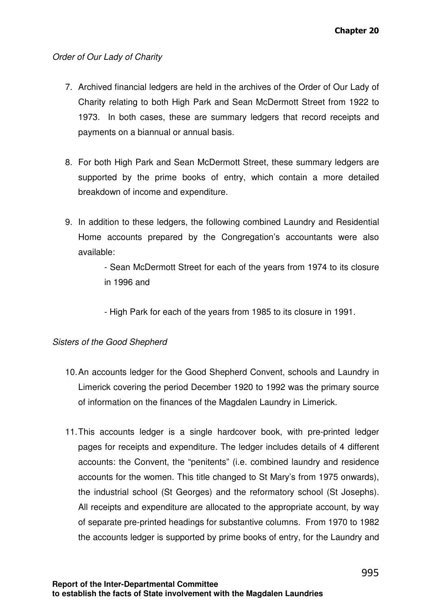#### Order of Our Lady of Charity

- 7. Archived financial ledgers are held in the archives of the Order of Our Lady of Charity relating to both High Park and Sean McDermott Street from 1922 to 1973. In both cases, these are summary ledgers that record receipts and payments on a biannual or annual basis.
- 8. For both High Park and Sean McDermott Street, these summary ledgers are supported by the prime books of entry, which contain a more detailed breakdown of income and expenditure.
- 9. In addition to these ledgers, the following combined Laundry and Residential Home accounts prepared by the Congregation's accountants were also available:

- Sean McDermott Street for each of the years from 1974 to its closure in 1996 and

- High Park for each of the years from 1985 to its closure in 1991.

#### Sisters of the Good Shepherd

- 10. An accounts ledger for the Good Shepherd Convent, schools and Laundry in Limerick covering the period December 1920 to 1992 was the primary source of information on the finances of the Magdalen Laundry in Limerick.
- 11. This accounts ledger is a single hardcover book, with pre-printed ledger pages for receipts and expenditure. The ledger includes details of 4 different accounts: the Convent, the "penitents" (i.e. combined laundry and residence accounts for the women. This title changed to St Mary's from 1975 onwards), the industrial school (St Georges) and the reformatory school (St Josephs). All receipts and expenditure are allocated to the appropriate account, by way of separate pre-printed headings for substantive columns. From 1970 to 1982 the accounts ledger is supported by prime books of entry, for the Laundry and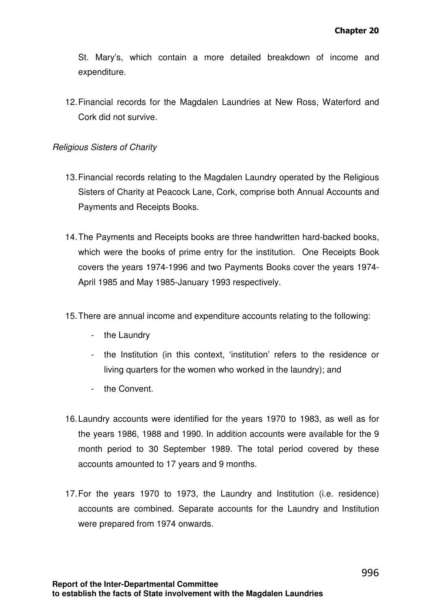St. Mary's, which contain a more detailed breakdown of income and expenditure.

12. Financial records for the Magdalen Laundries at New Ross, Waterford and Cork did not survive.

#### Religious Sisters of Charity

- 13. Financial records relating to the Magdalen Laundry operated by the Religious Sisters of Charity at Peacock Lane, Cork, comprise both Annual Accounts and Payments and Receipts Books.
- 14. The Payments and Receipts books are three handwritten hard-backed books, which were the books of prime entry for the institution. One Receipts Book covers the years 1974-1996 and two Payments Books cover the years 1974- April 1985 and May 1985-January 1993 respectively.
- 15. There are annual income and expenditure accounts relating to the following:
	- the Laundry
	- the Institution (in this context, 'institution' refers to the residence or living quarters for the women who worked in the laundry); and
	- the Convent.
- 16. Laundry accounts were identified for the years 1970 to 1983, as well as for the years 1986, 1988 and 1990. In addition accounts were available for the 9 month period to 30 September 1989. The total period covered by these accounts amounted to 17 years and 9 months.
- 17. For the years 1970 to 1973, the Laundry and Institution (i.e. residence) accounts are combined. Separate accounts for the Laundry and Institution were prepared from 1974 onwards.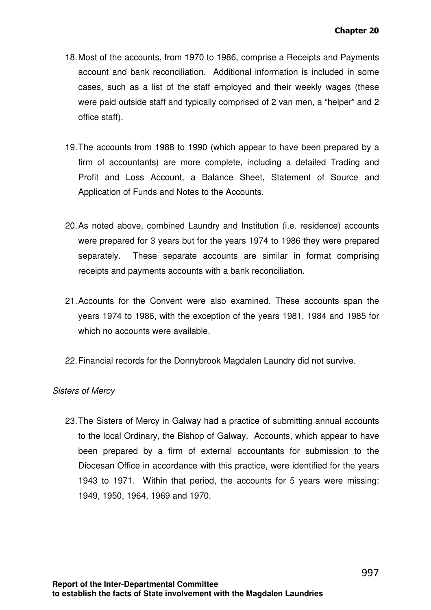- 18. Most of the accounts, from 1970 to 1986, comprise a Receipts and Payments account and bank reconciliation. Additional information is included in some cases, such as a list of the staff employed and their weekly wages (these were paid outside staff and typically comprised of 2 van men, a "helper" and 2 office staff).
- 19. The accounts from 1988 to 1990 (which appear to have been prepared by a firm of accountants) are more complete, including a detailed Trading and Profit and Loss Account, a Balance Sheet, Statement of Source and Application of Funds and Notes to the Accounts.
- 20. As noted above, combined Laundry and Institution (i.e. residence) accounts were prepared for 3 years but for the years 1974 to 1986 they were prepared separately. These separate accounts are similar in format comprising receipts and payments accounts with a bank reconciliation.
- 21. Accounts for the Convent were also examined. These accounts span the years 1974 to 1986, with the exception of the years 1981, 1984 and 1985 for which no accounts were available.
- 22. Financial records for the Donnybrook Magdalen Laundry did not survive.

## Sisters of Mercy

23. The Sisters of Mercy in Galway had a practice of submitting annual accounts to the local Ordinary, the Bishop of Galway. Accounts, which appear to have been prepared by a firm of external accountants for submission to the Diocesan Office in accordance with this practice, were identified for the years 1943 to 1971. Within that period, the accounts for 5 years were missing: 1949, 1950, 1964, 1969 and 1970.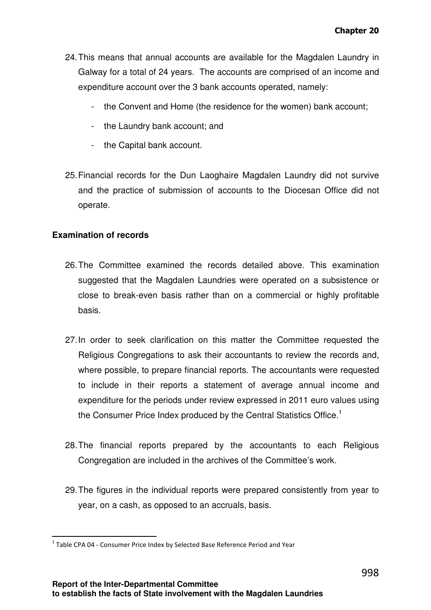- 24. This means that annual accounts are available for the Magdalen Laundry in Galway for a total of 24 years. The accounts are comprised of an income and expenditure account over the 3 bank accounts operated, namely:
	- the Convent and Home (the residence for the women) bank account;
	- the Laundry bank account; and
	- the Capital bank account.
- 25. Financial records for the Dun Laoghaire Magdalen Laundry did not survive and the practice of submission of accounts to the Diocesan Office did not operate.

## **Examination of records**

 $\overline{a}$ 

- 26. The Committee examined the records detailed above. This examination suggested that the Magdalen Laundries were operated on a subsistence or close to break-even basis rather than on a commercial or highly profitable basis.
- 27. In order to seek clarification on this matter the Committee requested the Religious Congregations to ask their accountants to review the records and, where possible, to prepare financial reports. The accountants were requested to include in their reports a statement of average annual income and expenditure for the periods under review expressed in 2011 euro values using the Consumer Price Index produced by the Central Statistics Office.<sup>1</sup>
- 28. The financial reports prepared by the accountants to each Religious Congregation are included in the archives of the Committee's work.
- 29. The figures in the individual reports were prepared consistently from year to year, on a cash, as opposed to an accruals, basis.

 $^1$  Table CPA 04 - Consumer Price Index by Selected Base Reference Period and Year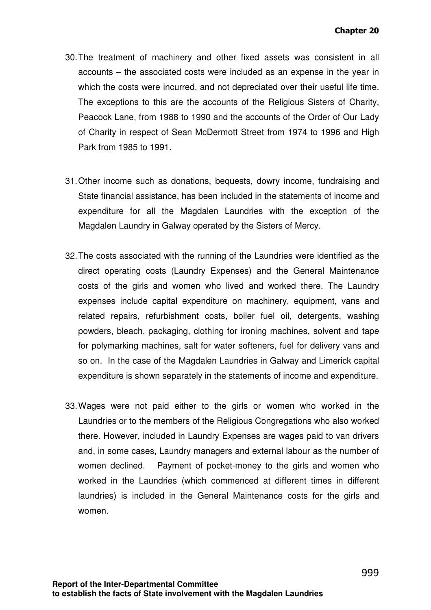- 30. The treatment of machinery and other fixed assets was consistent in all accounts – the associated costs were included as an expense in the year in which the costs were incurred, and not depreciated over their useful life time. The exceptions to this are the accounts of the Religious Sisters of Charity, Peacock Lane, from 1988 to 1990 and the accounts of the Order of Our Lady of Charity in respect of Sean McDermott Street from 1974 to 1996 and High Park from 1985 to 1991.
- 31. Other income such as donations, bequests, dowry income, fundraising and State financial assistance, has been included in the statements of income and expenditure for all the Magdalen Laundries with the exception of the Magdalen Laundry in Galway operated by the Sisters of Mercy.
- 32. The costs associated with the running of the Laundries were identified as the direct operating costs (Laundry Expenses) and the General Maintenance costs of the girls and women who lived and worked there. The Laundry expenses include capital expenditure on machinery, equipment, vans and related repairs, refurbishment costs, boiler fuel oil, detergents, washing powders, bleach, packaging, clothing for ironing machines, solvent and tape for polymarking machines, salt for water softeners, fuel for delivery vans and so on. In the case of the Magdalen Laundries in Galway and Limerick capital expenditure is shown separately in the statements of income and expenditure.
- 33. Wages were not paid either to the girls or women who worked in the Laundries or to the members of the Religious Congregations who also worked there. However, included in Laundry Expenses are wages paid to van drivers and, in some cases, Laundry managers and external labour as the number of women declined. Payment of pocket-money to the girls and women who worked in the Laundries (which commenced at different times in different laundries) is included in the General Maintenance costs for the girls and women.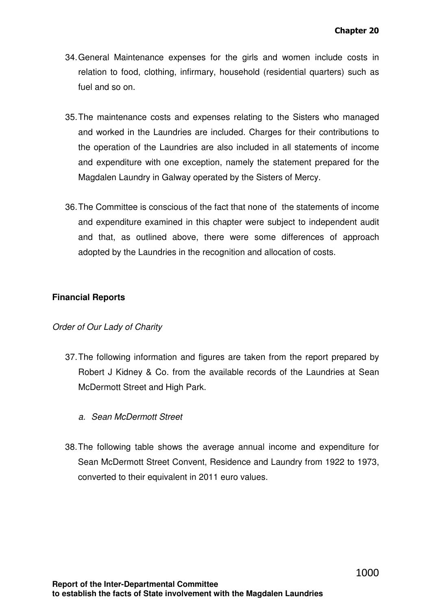- 34. General Maintenance expenses for the girls and women include costs in relation to food, clothing, infirmary, household (residential quarters) such as fuel and so on.
- 35. The maintenance costs and expenses relating to the Sisters who managed and worked in the Laundries are included. Charges for their contributions to the operation of the Laundries are also included in all statements of income and expenditure with one exception, namely the statement prepared for the Magdalen Laundry in Galway operated by the Sisters of Mercy.
- 36. The Committee is conscious of the fact that none of the statements of income and expenditure examined in this chapter were subject to independent audit and that, as outlined above, there were some differences of approach adopted by the Laundries in the recognition and allocation of costs.

## **Financial Reports**

## Order of Our Lady of Charity

- 37. The following information and figures are taken from the report prepared by Robert J Kidney & Co. from the available records of the Laundries at Sean McDermott Street and High Park.
	- a. Sean McDermott Street
- 38. The following table shows the average annual income and expenditure for Sean McDermott Street Convent, Residence and Laundry from 1922 to 1973, converted to their equivalent in 2011 euro values.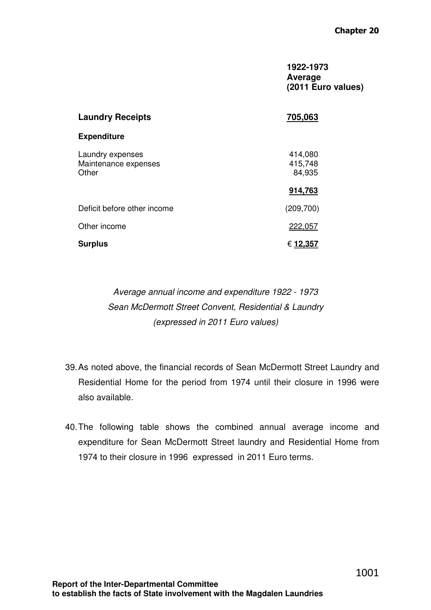#### **1922-1973 Average (2011 Euro values)**

| <b>Laundry Receipts</b>                           | 705,063                      |
|---------------------------------------------------|------------------------------|
| <b>Expenditure</b>                                |                              |
| Laundry expenses<br>Maintenance expenses<br>Other | 414,080<br>415,748<br>84,935 |
|                                                   | 914,763                      |
| Deficit before other income                       | (209, 700)                   |
| Other income                                      | 222,057                      |
| <b>Surplus</b>                                    | € <u>12,357</u>              |

Average annual income and expenditure 1922 - 1973 Sean McDermott Street Convent, Residential & Laundry (expressed in 2011 Euro values)

- 39. As noted above, the financial records of Sean McDermott Street Laundry and Residential Home for the period from 1974 until their closure in 1996 were also available.
- 40. The following table shows the combined annual average income and expenditure for Sean McDermott Street laundry and Residential Home from 1974 to their closure in 1996 expressed in 2011 Euro terms.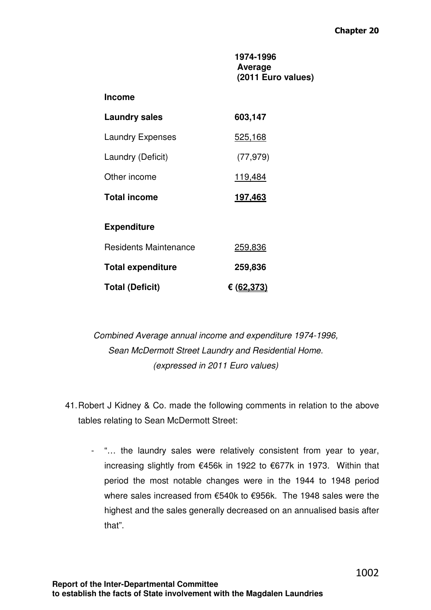**1974-1996 Average (2011 Euro values)** 

| <b>Laundry sales</b>         | 603,147    |
|------------------------------|------------|
| <b>Laundry Expenses</b>      | 525,168    |
| Laundry (Deficit)            | (77, 979)  |
| Other income                 | 119,484    |
| <b>Total income</b>          | 197,463    |
| <b>Expenditure</b>           |            |
| <b>Residents Maintenance</b> | 259,836    |
| <b>Total expenditure</b>     | 259,836    |
| <b>Total (Deficit)</b>       | € (62,373) |

Combined Average annual income and expenditure 1974-1996, Sean McDermott Street Laundry and Residential Home. (expressed in 2011 Euro values)

- 41. Robert J Kidney & Co. made the following comments in relation to the above tables relating to Sean McDermott Street:
	- "… the laundry sales were relatively consistent from year to year, increasing slightly from €456k in 1922 to €677k in 1973. Within that period the most notable changes were in the 1944 to 1948 period where sales increased from €540k to €956k. The 1948 sales were the highest and the sales generally decreased on an annualised basis after that".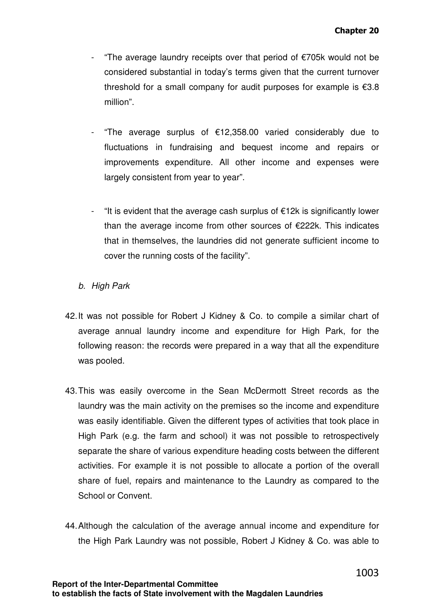- "The average laundry receipts over that period of €705k would not be considered substantial in today's terms given that the current turnover threshold for a small company for audit purposes for example is  $€3.8$ million".
- "The average surplus of €12,358.00 varied considerably due to fluctuations in fundraising and bequest income and repairs or improvements expenditure. All other income and expenses were largely consistent from year to year".
- "It is evident that the average cash surplus of €12k is significantly lower than the average income from other sources of  $E222k$ . This indicates that in themselves, the laundries did not generate sufficient income to cover the running costs of the facility".

# b. High Park

- 42. It was not possible for Robert J Kidney & Co. to compile a similar chart of average annual laundry income and expenditure for High Park, for the following reason: the records were prepared in a way that all the expenditure was pooled.
- 43. This was easily overcome in the Sean McDermott Street records as the laundry was the main activity on the premises so the income and expenditure was easily identifiable. Given the different types of activities that took place in High Park (e.g. the farm and school) it was not possible to retrospectively separate the share of various expenditure heading costs between the different activities. For example it is not possible to allocate a portion of the overall share of fuel, repairs and maintenance to the Laundry as compared to the School or Convent.
- 44. Although the calculation of the average annual income and expenditure for the High Park Laundry was not possible, Robert J Kidney & Co. was able to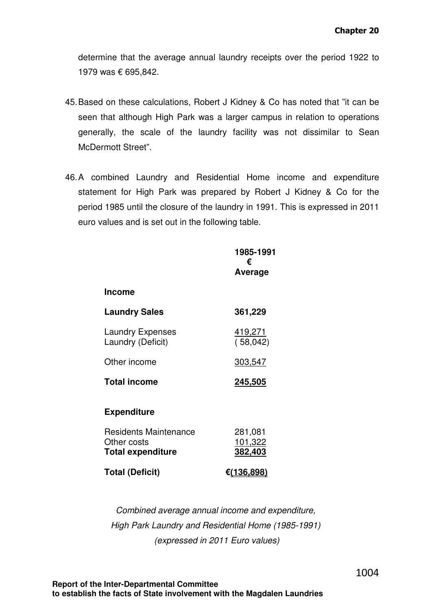determine that the average annual laundry receipts over the period 1922 to 1979 was € 695,842.

- 45. Based on these calculations, Robert J Kidney & Co has noted that "it can be seen that although High Park was a larger campus in relation to operations generally, the scale of the laundry facility was not dissimilar to Sean McDermott Street".
- 46. A combined Laundry and Residential Home income and expenditure statement for High Park was prepared by Robert J Kidney & Co for the period 1985 until the closure of the laundry in 1991. This is expressed in 2011 euro values and is set out in the following table.

|                                                                         | 1985-1991<br>€<br>Average            |
|-------------------------------------------------------------------------|--------------------------------------|
| <b>Income</b>                                                           |                                      |
| <b>Laundry Sales</b>                                                    | 361,229                              |
| <b>Laundry Expenses</b><br>Laundry (Deficit)                            | <u>419,271</u><br>(58,042)           |
| Other income                                                            | 303,547                              |
| <b>Total income</b>                                                     | 245,505                              |
| <b>Expenditure</b>                                                      |                                      |
| <b>Residents Maintenance</b><br>Other costs<br><b>Total expenditure</b> | 281,081<br>101,322<br><u>382,403</u> |
| <b>Total (Deficit)</b>                                                  | <u>€(136,898)</u>                    |

Combined average annual income and expenditure, High Park Laundry and Residential Home (1985-1991) (expressed in 2011 Euro values)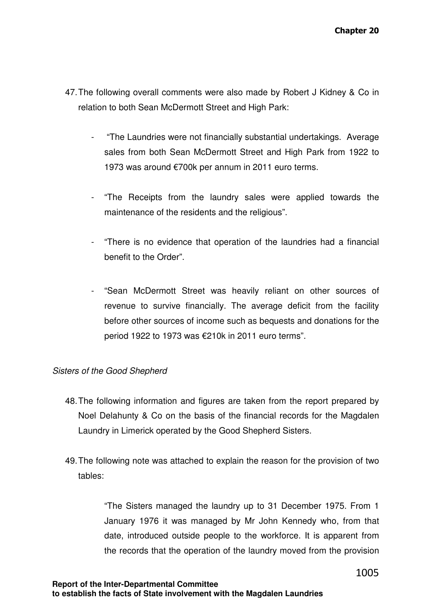- 47. The following overall comments were also made by Robert J Kidney & Co in relation to both Sean McDermott Street and High Park:
	- "The Laundries were not financially substantial undertakings. Average sales from both Sean McDermott Street and High Park from 1922 to 1973 was around €700k per annum in 2011 euro terms.
	- "The Receipts from the laundry sales were applied towards the maintenance of the residents and the religious".
	- "There is no evidence that operation of the laundries had a financial benefit to the Order".
	- "Sean McDermott Street was heavily reliant on other sources of revenue to survive financially. The average deficit from the facility before other sources of income such as bequests and donations for the period 1922 to 1973 was €210k in 2011 euro terms".

#### Sisters of the Good Shepherd

- 48. The following information and figures are taken from the report prepared by Noel Delahunty & Co on the basis of the financial records for the Magdalen Laundry in Limerick operated by the Good Shepherd Sisters.
- 49. The following note was attached to explain the reason for the provision of two tables:

"The Sisters managed the laundry up to 31 December 1975. From 1 January 1976 it was managed by Mr John Kennedy who, from that date, introduced outside people to the workforce. It is apparent from the records that the operation of the laundry moved from the provision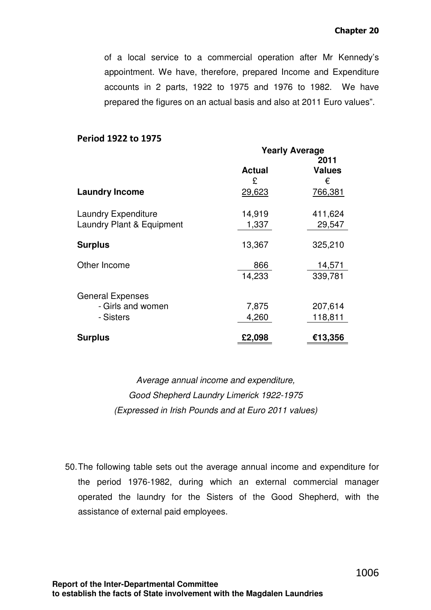of a local service to a commercial operation after Mr Kennedy's appointment. We have, therefore, prepared Income and Expenditure accounts in 2 parts, 1922 to 1975 and 1976 to 1982. We have prepared the figures on an actual basis and also at 2011 Euro values".

#### Period 1922 to 1975

|                            | <b>Yearly Average</b> |               |
|----------------------------|-----------------------|---------------|
|                            |                       | 2011          |
|                            | <b>Actual</b>         | <b>Values</b> |
|                            | £                     | €             |
| <b>Laundry Income</b>      | 29,623                | 766,381       |
| <b>Laundry Expenditure</b> | 14,919                | 411,624       |
| Laundry Plant & Equipment  | 1,337                 | 29,547        |
| <b>Surplus</b>             | 13,367                | 325,210       |
| Other Income               | 866                   | 14,571        |
|                            | 14,233                | 339,781       |
| <b>General Expenses</b>    |                       |               |
| - Girls and women          | 7,875                 | 207,614       |
| - Sisters                  | 4,260                 | 118,811       |
| <b>Surplus</b>             | £2,098                | €13,356       |

Average annual income and expenditure, Good Shepherd Laundry Limerick 1922-1975 (Expressed in Irish Pounds and at Euro 2011 values)

50. The following table sets out the average annual income and expenditure for the period 1976-1982, during which an external commercial manager operated the laundry for the Sisters of the Good Shepherd, with the assistance of external paid employees.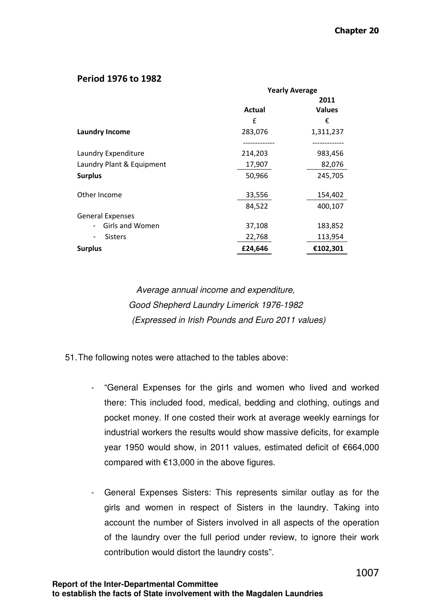#### Period 1976 to 1982

|                                             | <b>Yearly Average</b> |               |
|---------------------------------------------|-----------------------|---------------|
|                                             |                       | 2011          |
|                                             | <b>Actual</b>         | <b>Values</b> |
|                                             | £                     | €             |
| <b>Laundry Income</b>                       | 283,076               | 1,311,237     |
|                                             |                       |               |
| Laundry Expenditure                         | 214,203               | 983,456       |
| Laundry Plant & Equipment                   | 17,907                | 82,076        |
| <b>Surplus</b>                              | 50,966                | 245,705       |
| Other Income                                | 33,556                | 154,402       |
|                                             | 84,522                | 400,107       |
| <b>General Expenses</b>                     |                       |               |
| Girls and Women<br>$\overline{\phantom{0}}$ | 37,108                | 183,852       |
| <b>Sisters</b>                              | 22,768                | 113,954       |
| <b>Surplus</b>                              | £24,646               | €102,301      |

Average annual income and expenditure, Good Shepherd Laundry Limerick 1976-1982 (Expressed in Irish Pounds and Euro 2011 values)

- 51. The following notes were attached to the tables above:
	- "General Expenses for the girls and women who lived and worked there: This included food, medical, bedding and clothing, outings and pocket money. If one costed their work at average weekly earnings for industrial workers the results would show massive deficits, for example year 1950 would show, in 2011 values, estimated deficit of €664,000 compared with €13,000 in the above figures.
	- General Expenses Sisters: This represents similar outlay as for the girls and women in respect of Sisters in the laundry. Taking into account the number of Sisters involved in all aspects of the operation of the laundry over the full period under review, to ignore their work contribution would distort the laundry costs".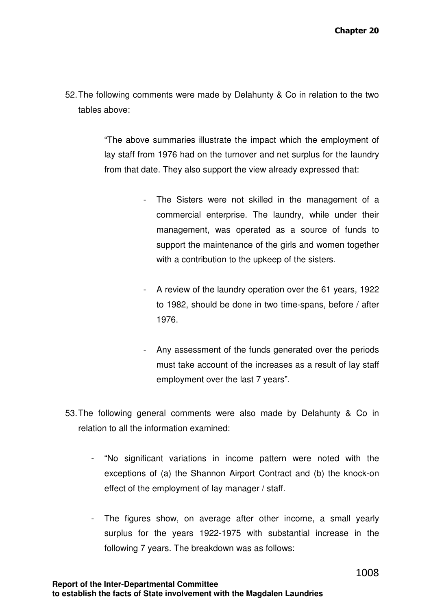52. The following comments were made by Delahunty & Co in relation to the two tables above:

> "The above summaries illustrate the impact which the employment of lay staff from 1976 had on the turnover and net surplus for the laundry from that date. They also support the view already expressed that:

- The Sisters were not skilled in the management of a commercial enterprise. The laundry, while under their management, was operated as a source of funds to support the maintenance of the girls and women together with a contribution to the upkeep of the sisters.
- A review of the laundry operation over the 61 years, 1922 to 1982, should be done in two time-spans, before / after 1976.
- Any assessment of the funds generated over the periods must take account of the increases as a result of lay staff employment over the last 7 years".
- 53. The following general comments were also made by Delahunty & Co in relation to all the information examined:
	- "No significant variations in income pattern were noted with the exceptions of (a) the Shannon Airport Contract and (b) the knock-on effect of the employment of lay manager / staff.
	- The figures show, on average after other income, a small yearly surplus for the years 1922-1975 with substantial increase in the following 7 years. The breakdown was as follows: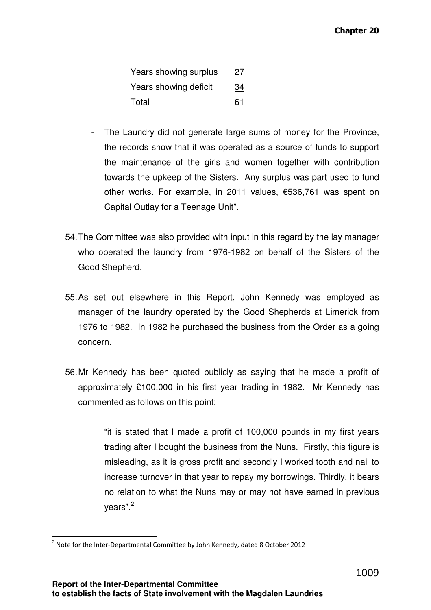| Years showing surplus | 27        |
|-----------------------|-----------|
| Years showing deficit | <u>34</u> |
| Total                 | 61        |

- The Laundry did not generate large sums of money for the Province, the records show that it was operated as a source of funds to support the maintenance of the girls and women together with contribution towards the upkeep of the Sisters. Any surplus was part used to fund other works. For example, in 2011 values, €536,761 was spent on Capital Outlay for a Teenage Unit".
- 54. The Committee was also provided with input in this regard by the lay manager who operated the laundry from 1976-1982 on behalf of the Sisters of the Good Shepherd.
- 55. As set out elsewhere in this Report, John Kennedy was employed as manager of the laundry operated by the Good Shepherds at Limerick from 1976 to 1982. In 1982 he purchased the business from the Order as a going concern.
- 56. Mr Kennedy has been quoted publicly as saying that he made a profit of approximately £100,000 in his first year trading in 1982. Mr Kennedy has commented as follows on this point:

"it is stated that I made a profit of 100,000 pounds in my first years trading after I bought the business from the Nuns. Firstly, this figure is misleading, as it is gross profit and secondly I worked tooth and nail to increase turnover in that year to repay my borrowings. Thirdly, it bears no relation to what the Nuns may or may not have earned in previous vears".<sup>2</sup>

 $\overline{a}$ 

 $^2$  Note for the Inter-Departmental Committee by John Kennedy, dated 8 October 2012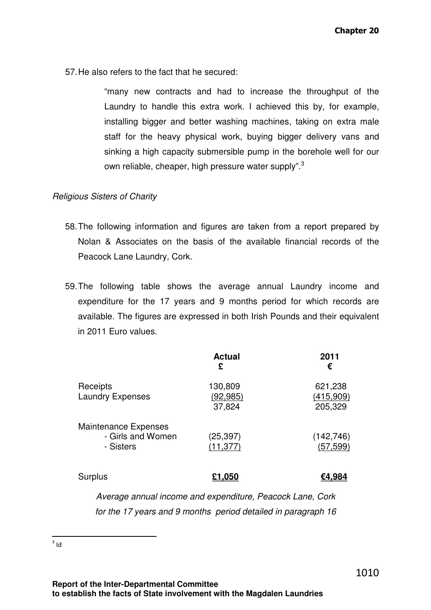57. He also refers to the fact that he secured:

"many new contracts and had to increase the throughput of the Laundry to handle this extra work. I achieved this by, for example, installing bigger and better washing machines, taking on extra male staff for the heavy physical work, buying bigger delivery vans and sinking a high capacity submersible pump in the borehole well for our own reliable, cheaper, high pressure water supply".<sup>3</sup>

#### Religious Sisters of Charity

- 58. The following information and figures are taken from a report prepared by Nolan & Associates on the basis of the available financial records of the Peacock Lane Laundry, Cork.
- 59. The following table shows the average annual Laundry income and expenditure for the 17 years and 9 months period for which records are available. The figures are expressed in both Irish Pounds and their equivalent in 2011 Euro values.

|                                                        | <b>Actual</b><br>£             | 2011<br>€                       |
|--------------------------------------------------------|--------------------------------|---------------------------------|
| Receipts<br><b>Laundry Expenses</b>                    | 130,809<br>(92, 985)<br>37,824 | 621,238<br>(415,909)<br>205,329 |
| Maintenance Expenses<br>- Girls and Women<br>- Sisters | (25, 397)<br>(11, 377)         | (142, 746)<br>(57, 599)         |
| <b>Surplus</b>                                         | £1,050                         | €4.984                          |

Average annual income and expenditure, Peacock Lane, Cork for the 17 years and 9 months period detailed in paragraph 16

 $\frac{1}{3}$ ld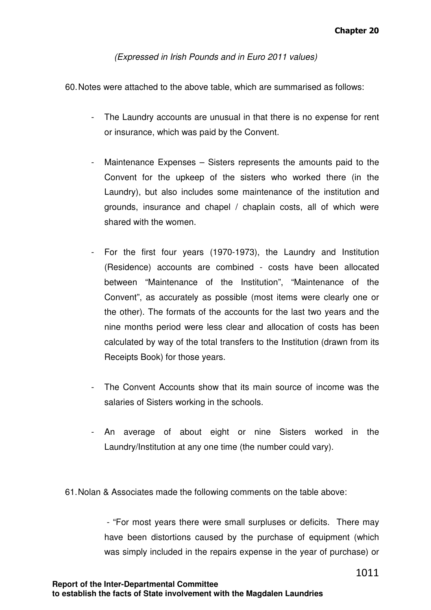(Expressed in Irish Pounds and in Euro 2011 values)

60. Notes were attached to the above table, which are summarised as follows:

- The Laundry accounts are unusual in that there is no expense for rent or insurance, which was paid by the Convent.
- Maintenance Expenses Sisters represents the amounts paid to the Convent for the upkeep of the sisters who worked there (in the Laundry), but also includes some maintenance of the institution and grounds, insurance and chapel / chaplain costs, all of which were shared with the women.
- For the first four years (1970-1973), the Laundry and Institution (Residence) accounts are combined - costs have been allocated between "Maintenance of the Institution", "Maintenance of the Convent", as accurately as possible (most items were clearly one or the other). The formats of the accounts for the last two years and the nine months period were less clear and allocation of costs has been calculated by way of the total transfers to the Institution (drawn from its Receipts Book) for those years.
- The Convent Accounts show that its main source of income was the salaries of Sisters working in the schools.
- An average of about eight or nine Sisters worked in the Laundry/Institution at any one time (the number could vary).

61. Nolan & Associates made the following comments on the table above:

 - "For most years there were small surpluses or deficits. There may have been distortions caused by the purchase of equipment (which was simply included in the repairs expense in the year of purchase) or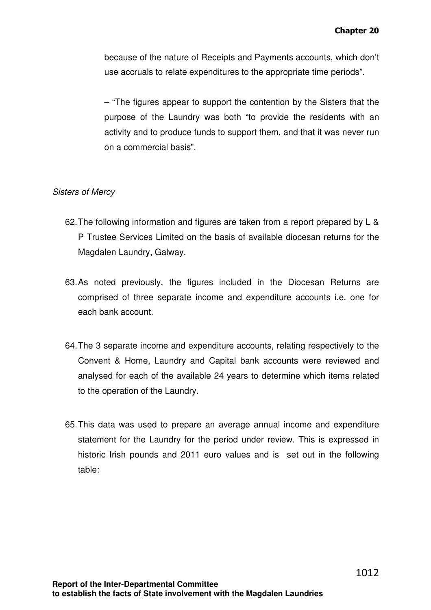because of the nature of Receipts and Payments accounts, which don't use accruals to relate expenditures to the appropriate time periods".

– "The figures appear to support the contention by the Sisters that the purpose of the Laundry was both "to provide the residents with an activity and to produce funds to support them, and that it was never run on a commercial basis".

## Sisters of Mercy

- 62. The following information and figures are taken from a report prepared by L & P Trustee Services Limited on the basis of available diocesan returns for the Magdalen Laundry, Galway.
- 63. As noted previously, the figures included in the Diocesan Returns are comprised of three separate income and expenditure accounts i.e. one for each bank account.
- 64. The 3 separate income and expenditure accounts, relating respectively to the Convent & Home, Laundry and Capital bank accounts were reviewed and analysed for each of the available 24 years to determine which items related to the operation of the Laundry.
- 65. This data was used to prepare an average annual income and expenditure statement for the Laundry for the period under review. This is expressed in historic Irish pounds and 2011 euro values and is set out in the following table: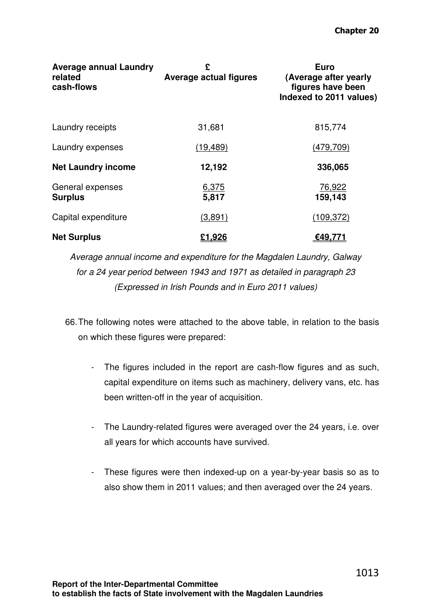| <b>Average annual Laundry</b><br>related<br>cash-flows | £<br><b>Average actual figures</b> | <b>Euro</b><br>(Average after yearly<br>figures have been<br>Indexed to 2011 values) |
|--------------------------------------------------------|------------------------------------|--------------------------------------------------------------------------------------|
| Laundry receipts                                       | 31,681                             | 815,774                                                                              |
| Laundry expenses                                       | (19, 489)                          | (479, 709)                                                                           |
| <b>Net Laundry income</b>                              | 12,192                             | 336,065                                                                              |
| General expenses<br><b>Surplus</b>                     | 6,375<br>5,817                     | 76,922<br>159,143                                                                    |
| Capital expenditure                                    | (3,891)                            | (109, 372)                                                                           |
| <b>Net Surplus</b>                                     | £1,926                             | €49,771                                                                              |

Average annual income and expenditure for the Magdalen Laundry, Galway for a 24 year period between 1943 and 1971 as detailed in paragraph 23 (Expressed in Irish Pounds and in Euro 2011 values)

66. The following notes were attached to the above table, in relation to the basis on which these figures were prepared:

- The figures included in the report are cash-flow figures and as such, capital expenditure on items such as machinery, delivery vans, etc. has been written-off in the year of acquisition.
- The Laundry-related figures were averaged over the 24 years, i.e. over all years for which accounts have survived.
- These figures were then indexed-up on a year-by-year basis so as to also show them in 2011 values; and then averaged over the 24 years.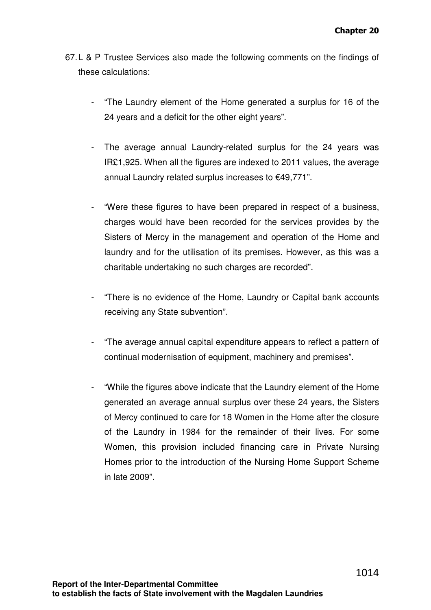- 67. L & P Trustee Services also made the following comments on the findings of these calculations:
	- "The Laundry element of the Home generated a surplus for 16 of the 24 years and a deficit for the other eight years".
	- The average annual Laundry-related surplus for the 24 years was IR£1,925. When all the figures are indexed to 2011 values, the average annual Laundry related surplus increases to €49,771".
	- "Were these figures to have been prepared in respect of a business, charges would have been recorded for the services provides by the Sisters of Mercy in the management and operation of the Home and laundry and for the utilisation of its premises. However, as this was a charitable undertaking no such charges are recorded".
	- "There is no evidence of the Home, Laundry or Capital bank accounts receiving any State subvention".
	- "The average annual capital expenditure appears to reflect a pattern of continual modernisation of equipment, machinery and premises".
	- "While the figures above indicate that the Laundry element of the Home generated an average annual surplus over these 24 years, the Sisters of Mercy continued to care for 18 Women in the Home after the closure of the Laundry in 1984 for the remainder of their lives. For some Women, this provision included financing care in Private Nursing Homes prior to the introduction of the Nursing Home Support Scheme in late 2009".